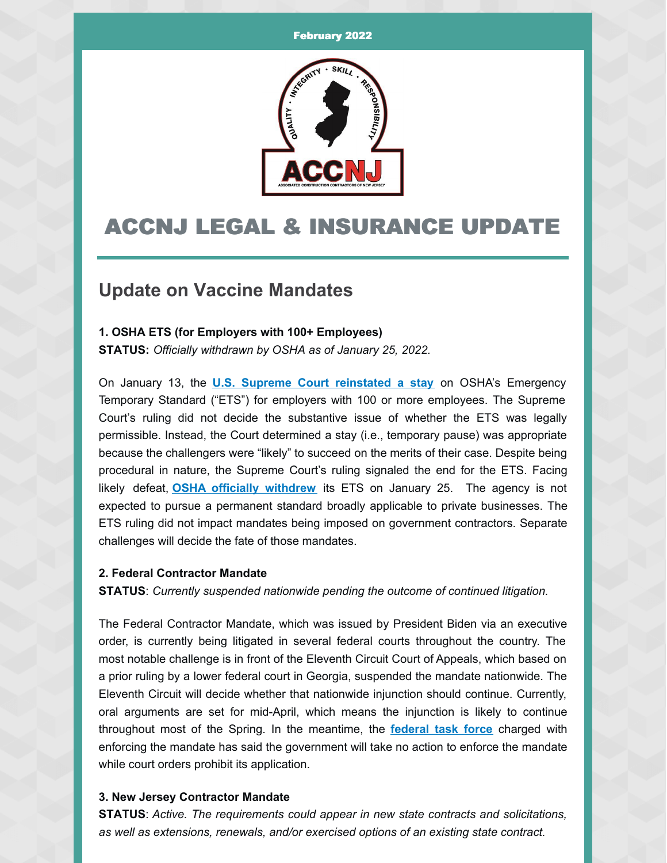

# ACCNJ LEGAL & INSURANCE UPDATE

## **Update on Vaccine Mandates**

### **1. OSHA ETS (for Employers with 100+ Employees)**

**STATUS:** *Officially withdrawn by OSHA as of January 25, 2022.*

On January 13, the **U.S. Supreme Court [reinstated](https://myemail.constantcontact.com/U-S--Supreme-Court-Blocks-OSHA-ETS-for-Large-Employers.html?soid=1125350900462&aid=FZZvjgf8M78) a stay** on OSHA's Emergency Temporary Standard ("ETS") for employers with 100 or more employees. The Supreme Court's ruling did not decide the substantive issue of whether the ETS was legally permissible. Instead, the Court determined a stay (i.e., temporary pause) was appropriate because the challengers were "likely" to succeed on the merits of their case. Despite being procedural in nature, the Supreme Court's ruling signaled the end for the ETS. Facing likely defeat, **OSHA officially [withdrew](https://public-inspection.federalregister.gov/2022-01532.pdf)** its ETS on January 25. The agency is not expected to pursue a permanent standard broadly applicable to private businesses. The ETS ruling did not impact mandates being imposed on government contractors. Separate challenges will decide the fate of those mandates.

#### **2. Federal Contractor Mandate**

**STATUS**: *Currently suspended nationwide pending the outcome of continued litigation.*

The Federal Contractor Mandate, which was issued by President Biden via an executive order, is currently being litigated in several federal courts throughout the country. The most notable challenge is in front of the Eleventh Circuit Court of Appeals, which based on a prior ruling by a lower federal court in Georgia, suspended the mandate nationwide. The Eleventh Circuit will decide whether that nationwide injunction should continue. Currently, oral arguments are set for mid-April, which means the injunction is likely to continue throughout most of the Spring. In the meantime, the **[federal](https://www.saferfederalworkforce.gov/contractors/) task force** charged with enforcing the mandate has said the government will take no action to enforce the mandate while court orders prohibit its application.

### **3. New Jersey Contractor Mandate**

**STATUS**: *Active. The requirements could appear in new state contracts and solicitations, as well as extensions, renewals, and/or exercised options of an existing state contract.*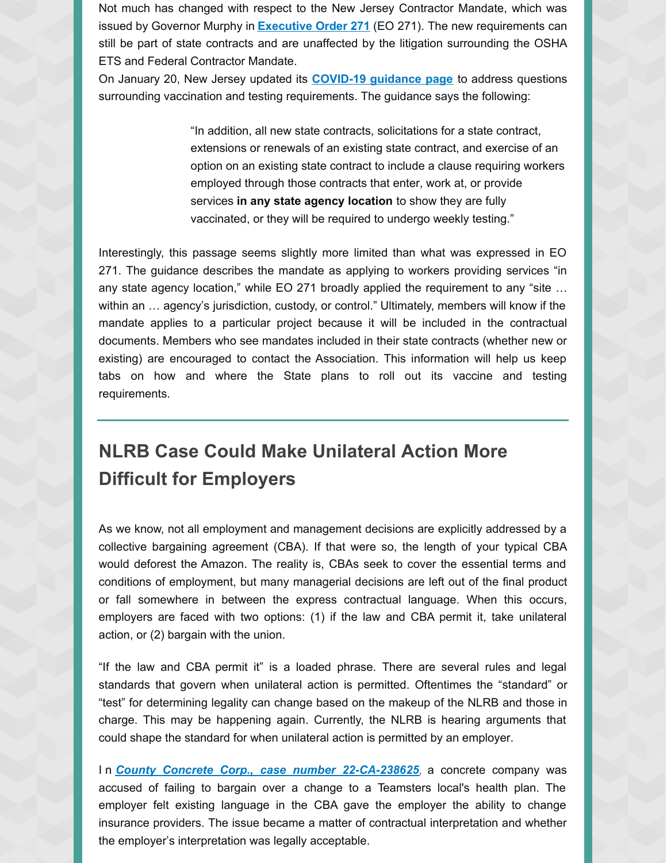Not much has changed with respect to the New Jersey Contractor Mandate, which was issued by Governor Murphy in **[Executive](https://www.nj.gov/infobank/eo/056murphy/pdf/EO-271.pdf) Order 271** (EO 271). The new requirements can still be part of state contracts and are unaffected by the litigation surrounding the OSHA ETS and Federal Contractor Mandate.

On January 20, New Jersey updated its **[COVID-19](https://covid19.nj.gov/faqs/nj-information/slowing-the-spread/where-is-vaccination-or-testing-required-for-workers-in-new-jersey) guidance page** to address questions surrounding vaccination and testing requirements. The guidance says the following:

> "In addition, all new state contracts, solicitations for a state contract, extensions or renewals of an existing state contract, and exercise of an option on an existing state contract to include a clause requiring workers employed through those contracts that enter, work at, or provide services **in any state agency location** to show they are fully vaccinated, or they will be required to undergo weekly testing."

Interestingly, this passage seems slightly more limited than what was expressed in EO 271. The guidance describes the mandate as applying to workers providing services "in any state agency location," while EO 271 broadly applied the requirement to any "site … within an … agency's jurisdiction, custody, or control." Ultimately, members will know if the mandate applies to a particular project because it will be included in the contractual documents. Members who see mandates included in their state contracts (whether new or existing) are encouraged to contact the Association. This information will help us keep tabs on how and where the State plans to roll out its vaccine and testing requirements.

# **NLRB Case Could Make Unilateral Action More Difficult for Employers**

As we know, not all employment and management decisions are explicitly addressed by a collective bargaining agreement (CBA). If that were so, the length of your typical CBA would deforest the Amazon. The reality is, CBAs seek to cover the essential terms and conditions of employment, but many managerial decisions are left out of the final product or fall somewhere in between the express contractual language. When this occurs, employers are faced with two options: (1) if the law and CBA permit it, take unilateral action, or (2) bargain with the union.

"If the law and CBA permit it" is a loaded phrase. There are several rules and legal standards that govern when unilateral action is permitted. Oftentimes the "standard" or "test" for determining legality can change based on the makeup of the NLRB and those in charge. This may be happening again. Currently, the NLRB is hearing arguments that could shape the standard for when unilateral action is permitted by an employer.

I n *County Concrete Corp., case number [22-CA-238625](https://www.nlrb.gov/case/22-CA-238625)*, a concrete company was accused of failing to bargain over a change to a Teamsters local's health plan. The employer felt existing language in the CBA gave the employer the ability to change insurance providers. The issue became a matter of contractual interpretation and whether the employer's interpretation was legally acceptable.